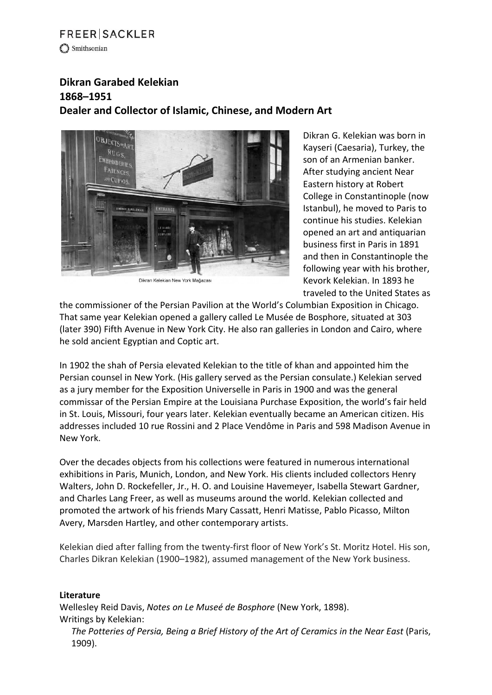## **FREER SACKLER** Smithsonian

## **Dikran Garabed Kelekian 1868–1951 Dealer and Collector of Islamic, Chinese, and Modern Art**



Dikran Kelekian New York Mağazası

Dikran G. Kelekian was born in Kayseri (Caesaria), Turkey, the son of an Armenian banker. After studying ancient Near Eastern history at Robert College in Constantinople (now Istanbul), he moved to Paris to continue his studies. Kelekian opened an art and antiquarian business first in Paris in 1891 and then in Constantinople the following year with his brother, Kevork Kelekian. In 1893 he traveled to the United States as

the commissioner of the Persian Pavilion at the World's Columbian Exposition in Chicago. That same year Kelekian opened a gallery called Le Musée de Bosphore, situated at 303 (later 390) Fifth Avenue in New York City. He also ran galleries in London and Cairo, where he sold ancient Egyptian and Coptic art.

In 1902 the shah of Persia elevated Kelekian to the title of khan and appointed him the Persian counsel in New York. (His gallery served as the Persian consulate.) Kelekian served as a jury member for the Exposition Universelle in Paris in 1900 and was the general commissar of the Persian Empire at the Louisiana Purchase Exposition, the world's fair held in St. Louis, Missouri, four years later. Kelekian eventually became an American citizen. His addresses included 10 rue Rossini and 2 Place Vendôme in Paris and 598 Madison Avenue in New York.

Over the decades objects from his collections were featured in numerous international exhibitions in Paris, Munich, London, and New York. His clients included collectors Henry Walters, John D. Rockefeller, Jr., H. O. and Louisine Havemeyer, Isabella Stewart Gardner, and Charles Lang Freer, as well as museums around the world. Kelekian collected and promoted the artwork of his friends Mary Cassatt, Henri Matisse, Pablo Picasso, Milton Avery, Marsden Hartley, and other contemporary artists.

Kelekian died after falling from the twenty-first floor of New York's St. Moritz Hotel. His son, Charles Dikran Kelekian (1900–1982), assumed management of the New York business.

## **Literature**

Wellesley Reid Davis, *Notes on Le Museé de Bosphore* (New York, 1898). Writings by Kelekian:

*The Potteries of Persia, Being a Brief History of the Art of Ceramics in the Near East* (Paris, 1909).